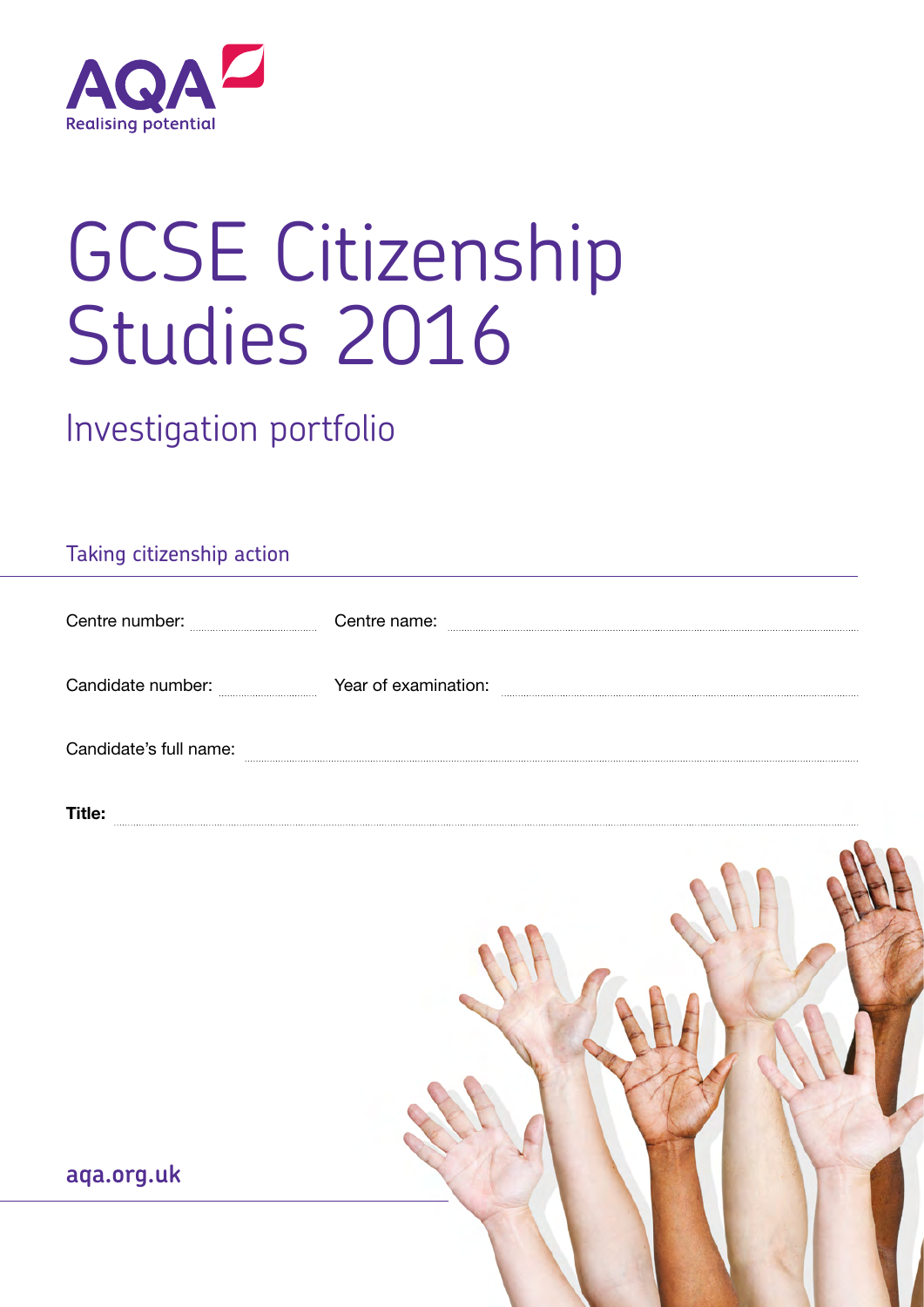

# GCSE Citizenship Studies 2016

Investigation portfolio

# Taking citizenship action

| Centre number:         | Centre name:         |
|------------------------|----------------------|
|                        |                      |
| Candidate number:      | Year of examination: |
|                        |                      |
| Candidate's full name: |                      |

Title:



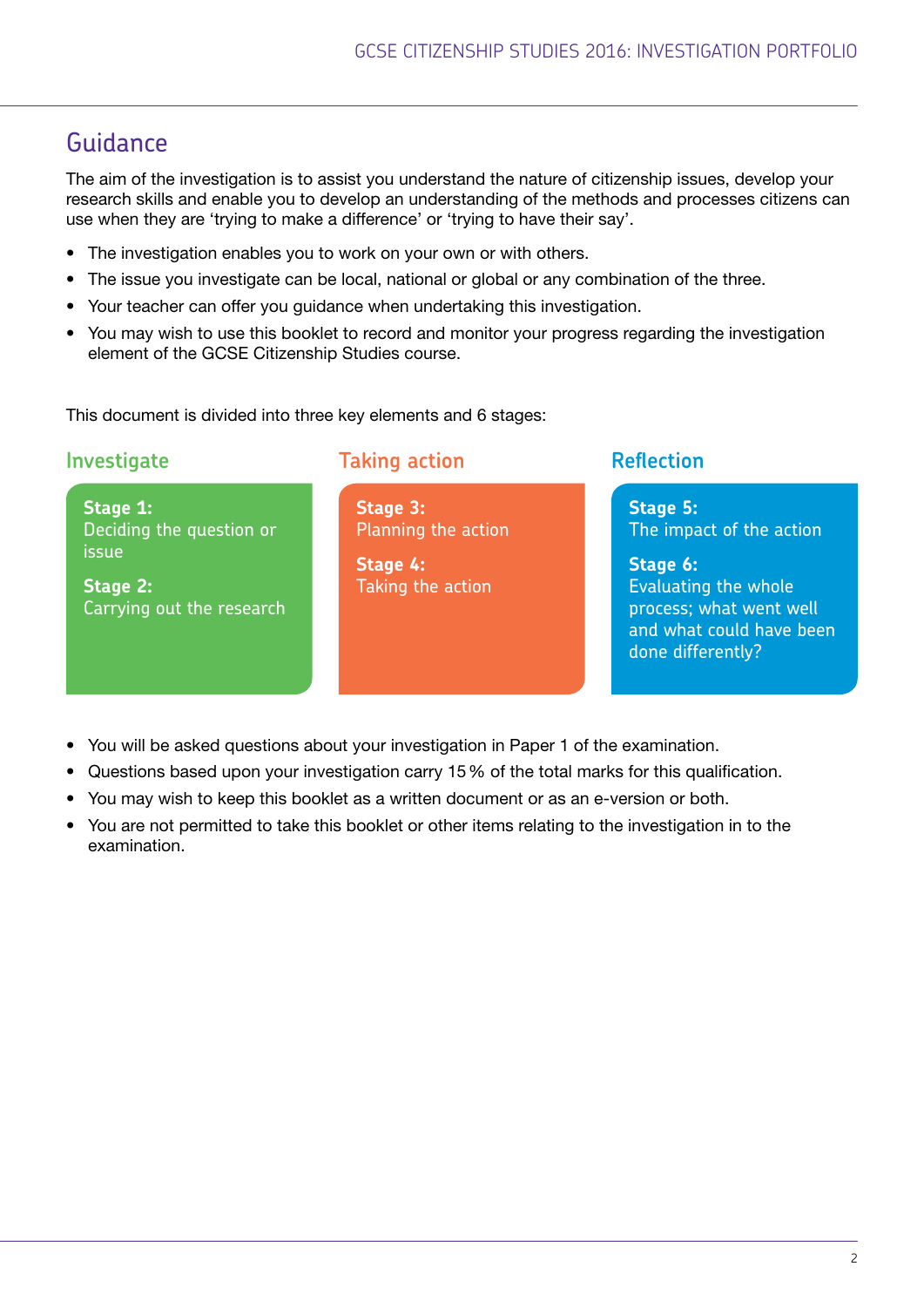# Guidance

The aim of the investigation is to assist you understand the nature of citizenship issues, develop your research skills and enable you to develop an understanding of the methods and processes citizens can use when they are 'trying to make a difference' or 'trying to have their say'.

- The investigation enables you to work on your own or with others.
- The issue you investigate can be local, national or global or any combination of the three.
- Your teacher can offer you guidance when undertaking this investigation.
- You may wish to use this booklet to record and monitor your progress regarding the investigation element of the GCSE Citizenship Studies course.

This document is divided into three key elements and 6 stages:

**Stage 1:** 

**Stage 2:** 

issue

Deciding the question or

Carrying out the research

**Investigate Taking action Reflection** 

**Stage 3:**  Planning the action

**Stage 4:**  Taking the action

**Stage 5:** The impact of the action

**Stage 6:** Evaluating the whole process; what went well and what could have been done differently?

- You will be asked questions about your investigation in Paper 1 of the examination.
- Questions based upon your investigation carry 15% of the total marks for this qualification.
- You may wish to keep this booklet as a written document or as an e-version or both.
- You are not permitted to take this booklet or other items relating to the investigation in to the examination.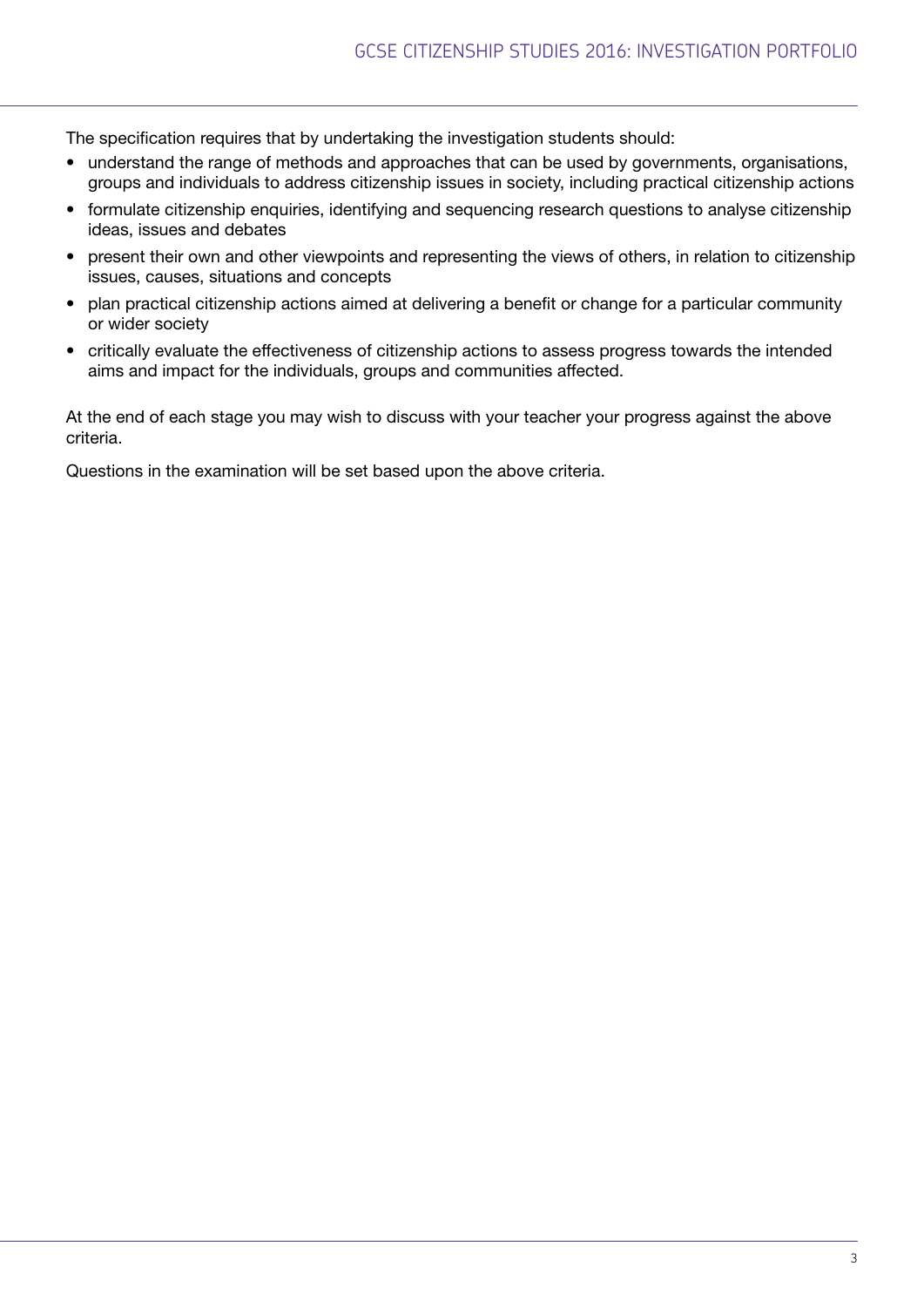The specification requires that by undertaking the investigation students should:

- understand the range of methods and approaches that can be used by governments, organisations, groups and individuals to address citizenship issues in society, including practical citizenship actions
- formulate citizenship enquiries, identifying and sequencing research questions to analyse citizenship ideas, issues and debates
- present their own and other viewpoints and representing the views of others, in relation to citizenship issues, causes, situations and concepts
- plan practical citizenship actions aimed at delivering a benefit or change for a particular community or wider society
- critically evaluate the effectiveness of citizenship actions to assess progress towards the intended aims and impact for the individuals, groups and communities affected.

At the end of each stage you may wish to discuss with your teacher your progress against the above criteria.

Questions in the examination will be set based upon the above criteria.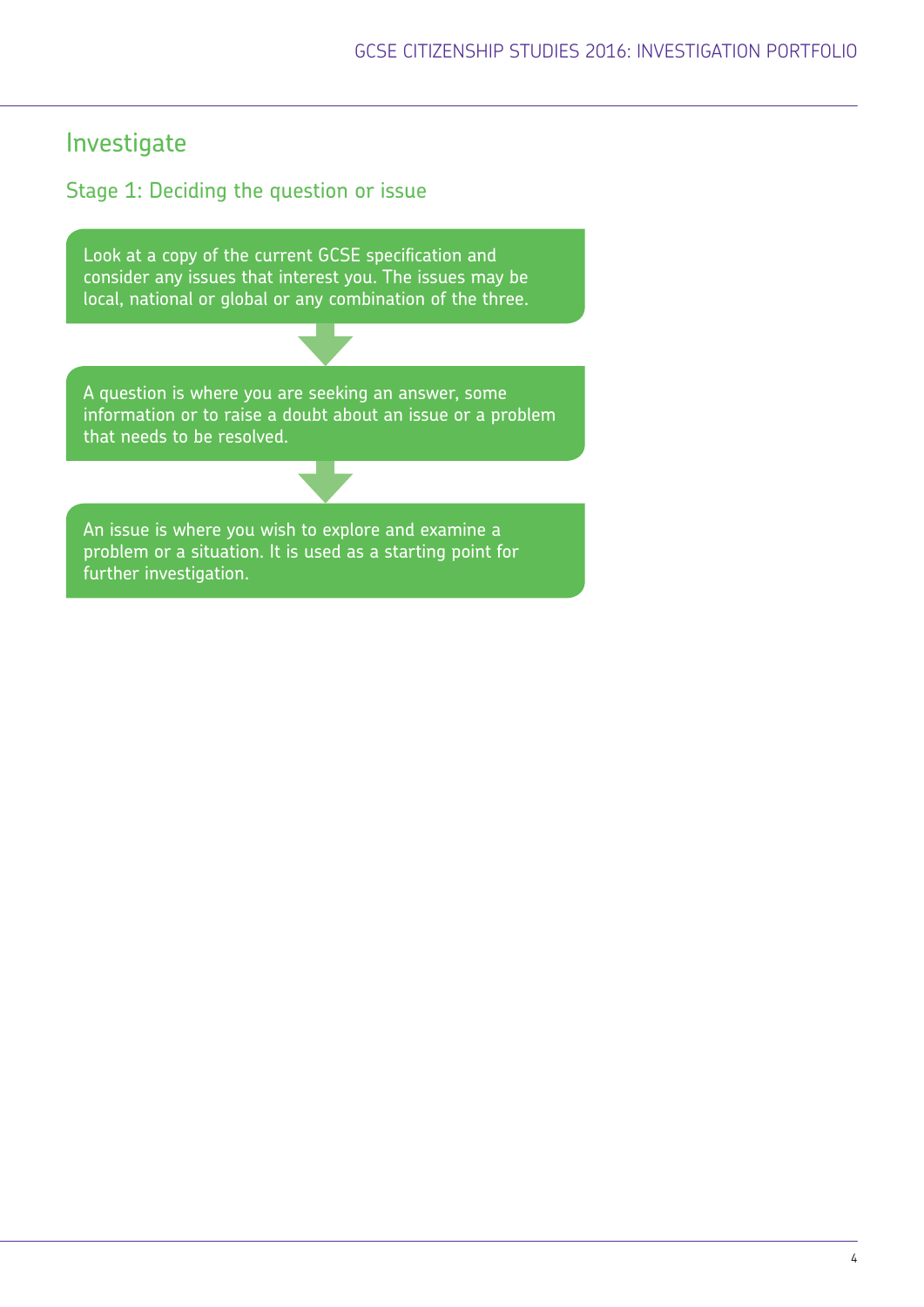# Investigate

# Stage 1: Deciding the question or issue

Look at a copy of the current GCSE specification and consider any issues that interest you. The issues may be local, national or global or any combination of the three.

A question is where you are seeking an answer, some information or to raise a doubt about an issue or a problem that needs to be resolved.

An issue is where you wish to explore and examine a problem or a situation. It is used as a starting point for further investigation.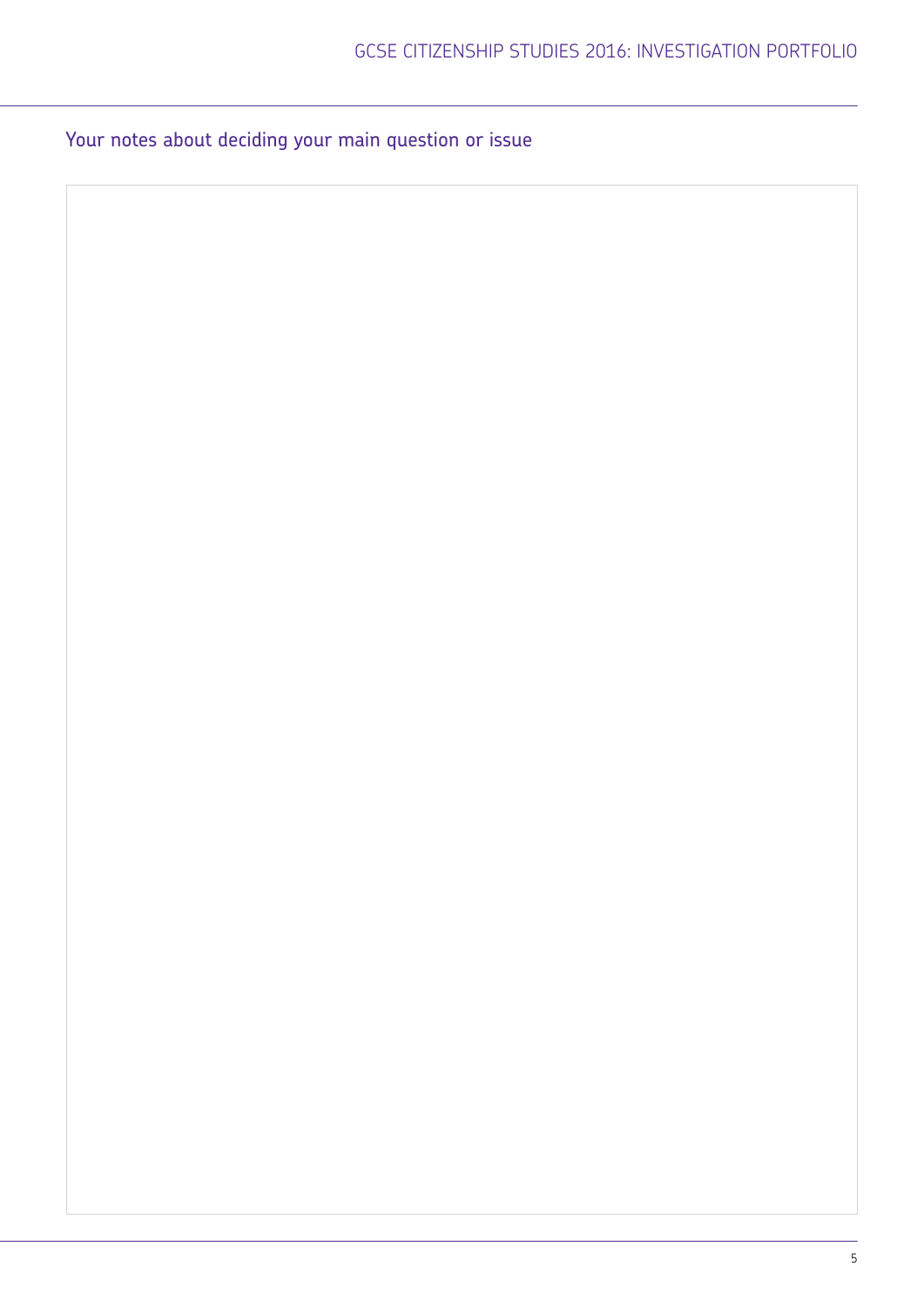Your notes about deciding your main question or issue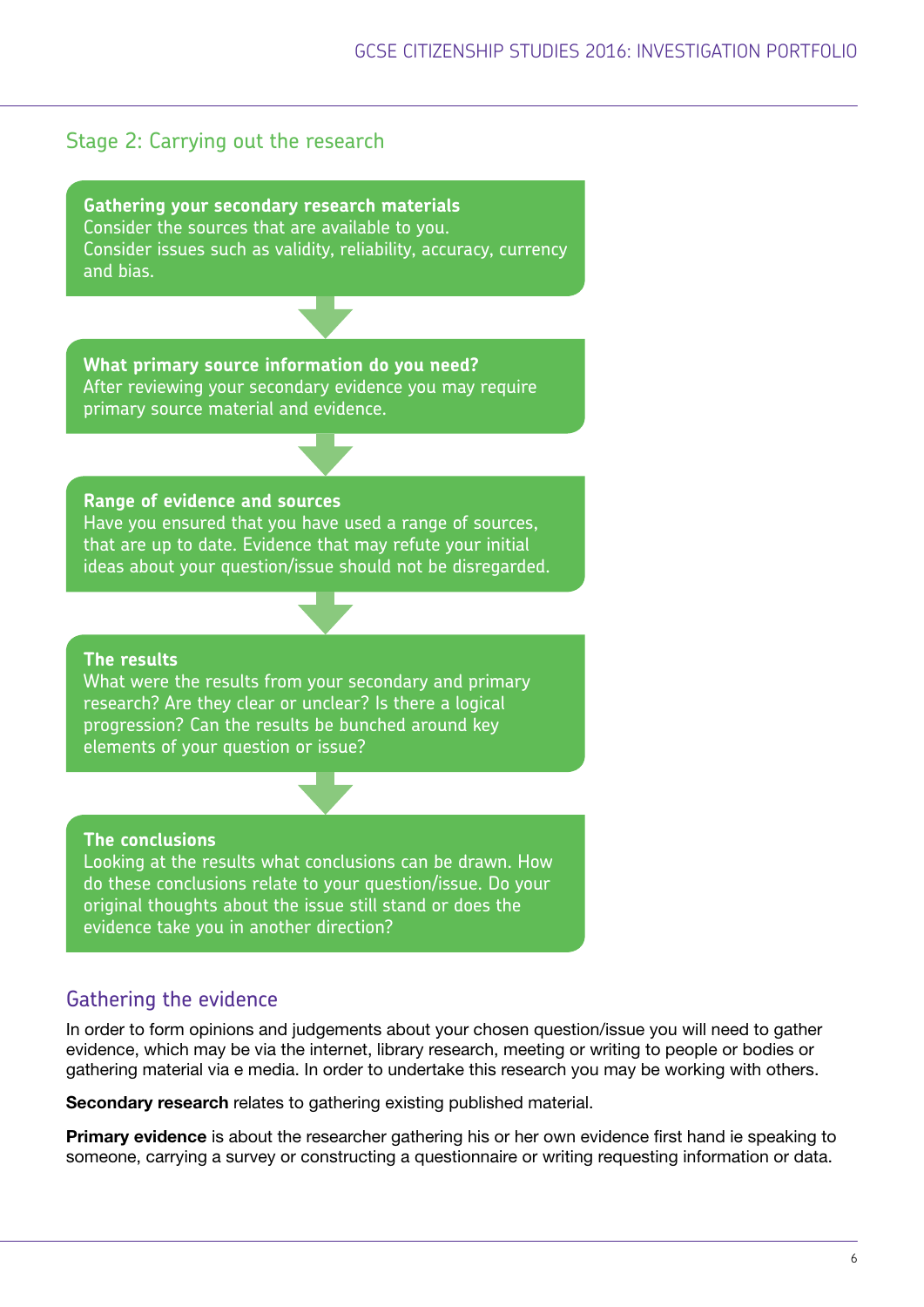# Stage 2: Carrying out the research

**Gathering your secondary research materials** Consider the sources that are available to you. Consider issues such as validity, reliability, accuracy, currency and bias.

**What primary source information do you need?** After reviewing your secondary evidence you may require primary source material and evidence.

#### **Range of evidence and sources**

Have you ensured that you have used a range of sources, that are up to date. Evidence that may refute your initial ideas about your question/issue should not be disregarded.

#### **The results**

What were the results from your secondary and primary research? Are they clear or unclear? Is there a logical progression? Can the results be bunched around key elements of your question or issue?

#### **The conclusions**

Looking at the results what conclusions can be drawn. How do these conclusions relate to your question/issue. Do your original thoughts about the issue still stand or does the evidence take you in another direction?

### Gathering the evidence

In order to form opinions and judgements about your chosen question/issue you will need to gather evidence, which may be via the internet, library research, meeting or writing to people or bodies or gathering material via e media. In order to undertake this research you may be working with others.

Secondary research relates to gathering existing published material.

**Primary evidence** is about the researcher gathering his or her own evidence first hand ie speaking to someone, carrying a survey or constructing a questionnaire or writing requesting information or data.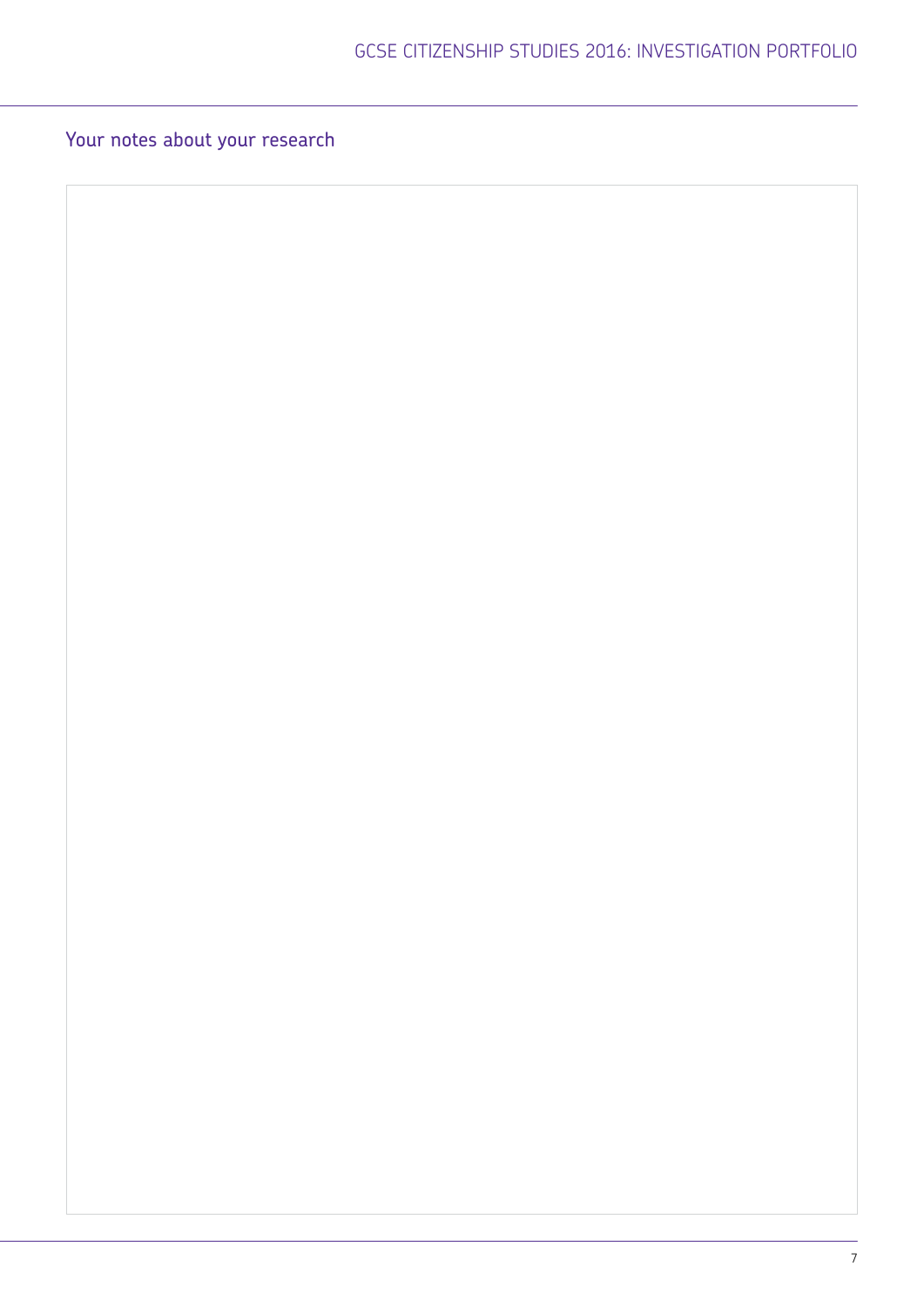# Your notes about your research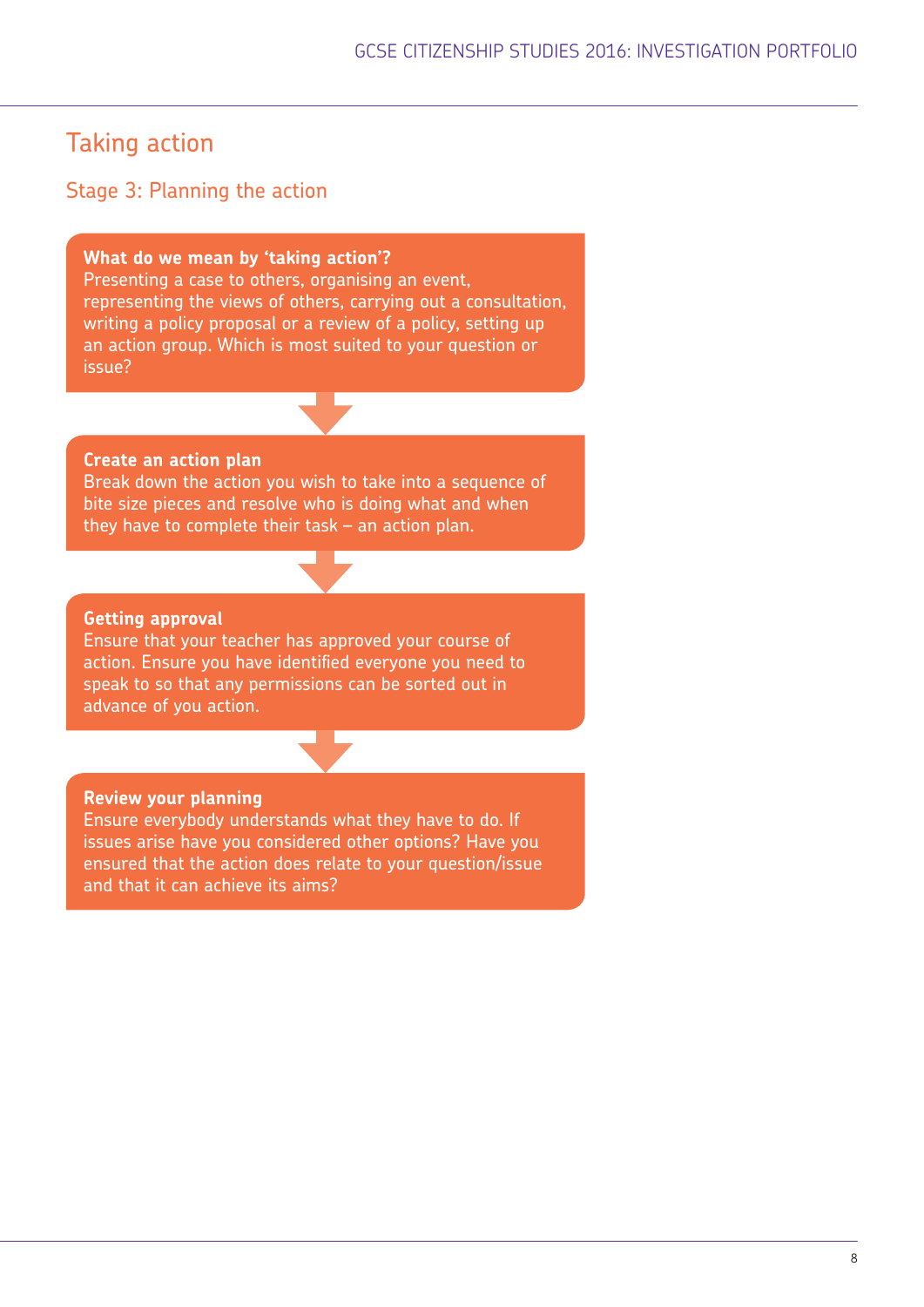# Taking action

## Stage 3: Planning the action

#### **What do we mean by 'taking action'?**

Presenting a case to others, organising an event, representing the views of others, carrying out a consultation, writing a policy proposal or a review of a policy, setting up an action group. Which is most suited to your question or issue?

#### **Create an action plan**

Break down the action you wish to take into a sequence of bite size pieces and resolve who is doing what and when they have to complete their task – an action plan.

#### **Getting approval**

Ensure that your teacher has approved your course of action. Ensure you have identified everyone you need to speak to so that any permissions can be sorted out in advance of you action.

#### **Review your planning**

Ensure everybody understands what they have to do. If issues arise have you considered other options? Have you ensured that the action does relate to your question/issue and that it can achieve its aims?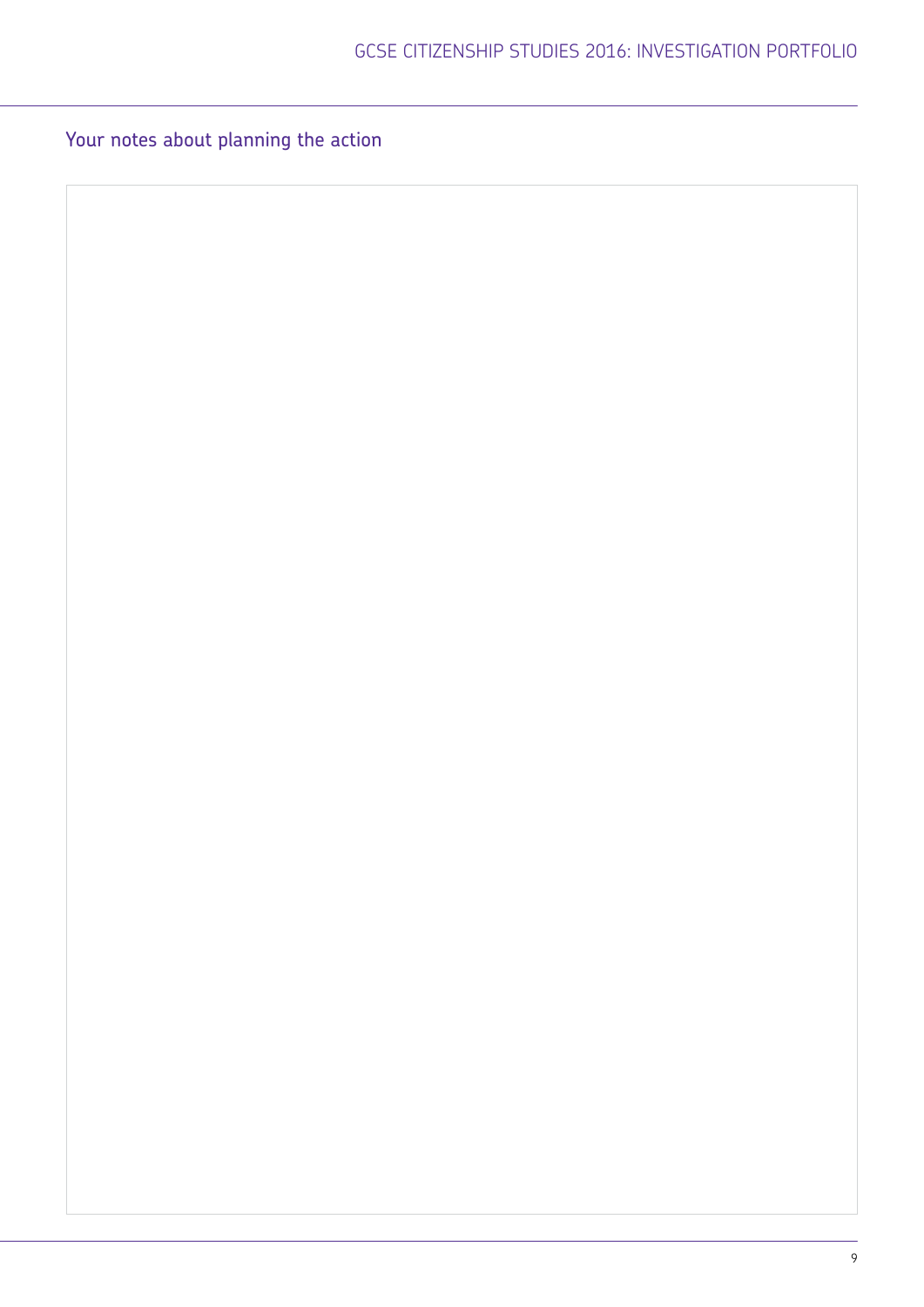Your notes about planning the action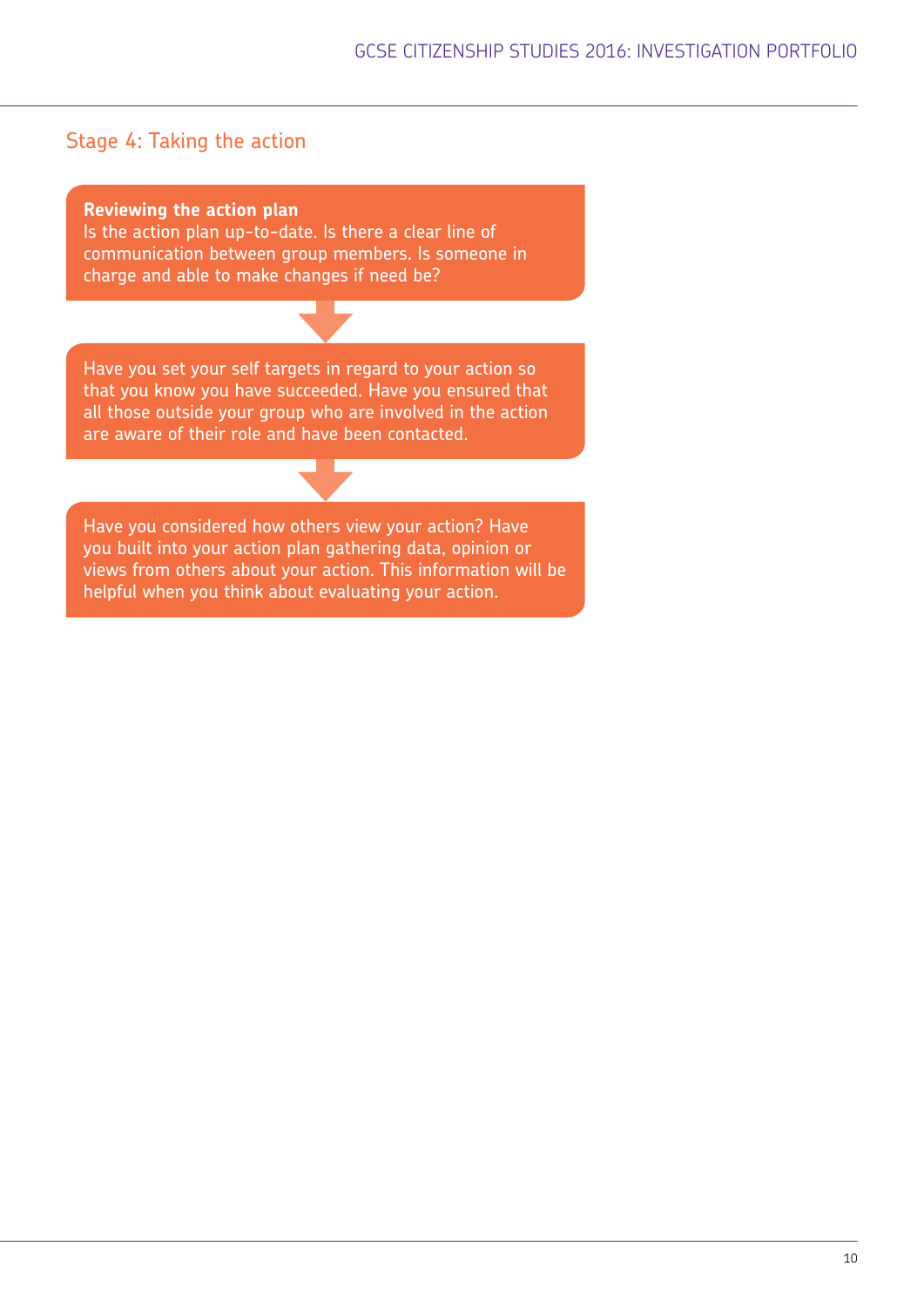# Stage 4: Taking the action

**Reviewing the action plan**

Is the action plan up-to-date. Is there a clear line of communication between group members. Is someone in charge and able to make changes if need be?

Have you set your self targets in regard to your action so that you know you have succeeded. Have you ensured that all those outside your group who are involved in the action are aware of their role and have been contacted.

Have you considered how others view your action? Have you built into your action plan gathering data, opinion or views from others about your action. This information will be helpful when you think about evaluating your action.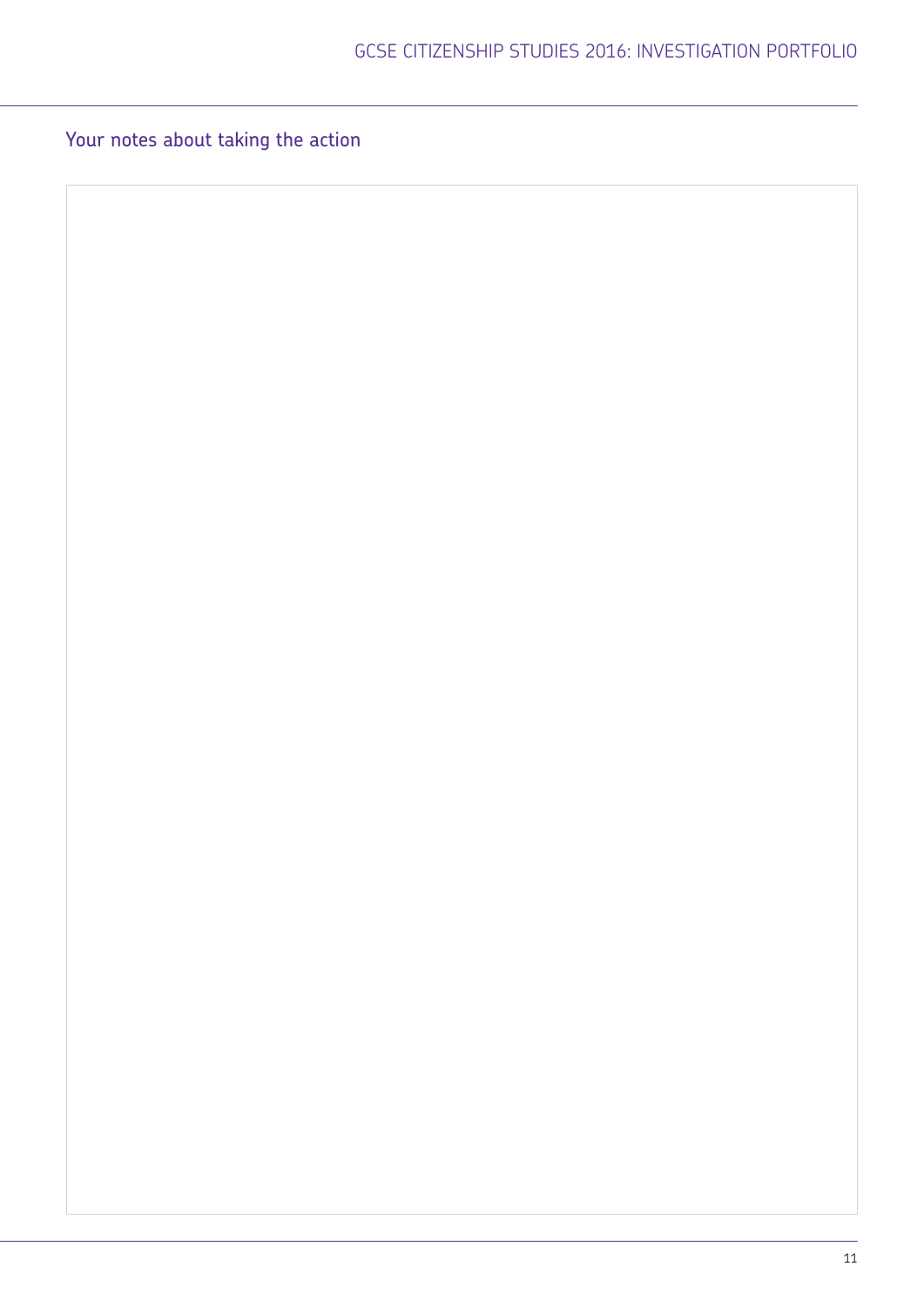Your notes about taking the action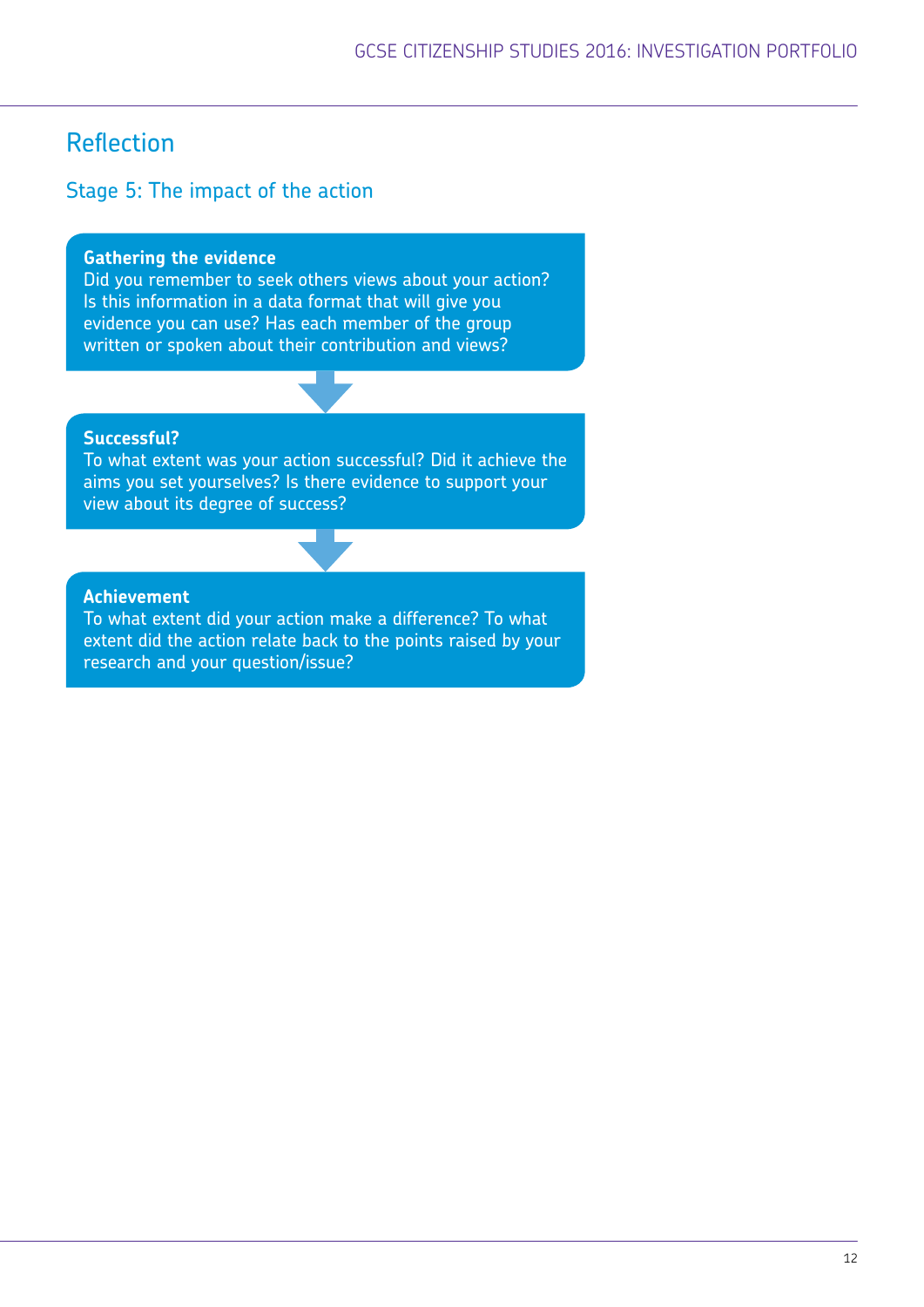# Reflection

# Stage 5: The impact of the action

#### **Gathering the evidence**

Did you remember to seek others views about your action? Is this information in a data format that will give you evidence you can use? Has each member of the group written or spoken about their contribution and views?

### **Successful?**

To what extent was your action successful? Did it achieve the aims you set yourselves? Is there evidence to support your view about its degree of success?

#### **Achievement**

To what extent did your action make a difference? To what extent did the action relate back to the points raised by your research and your question/issue?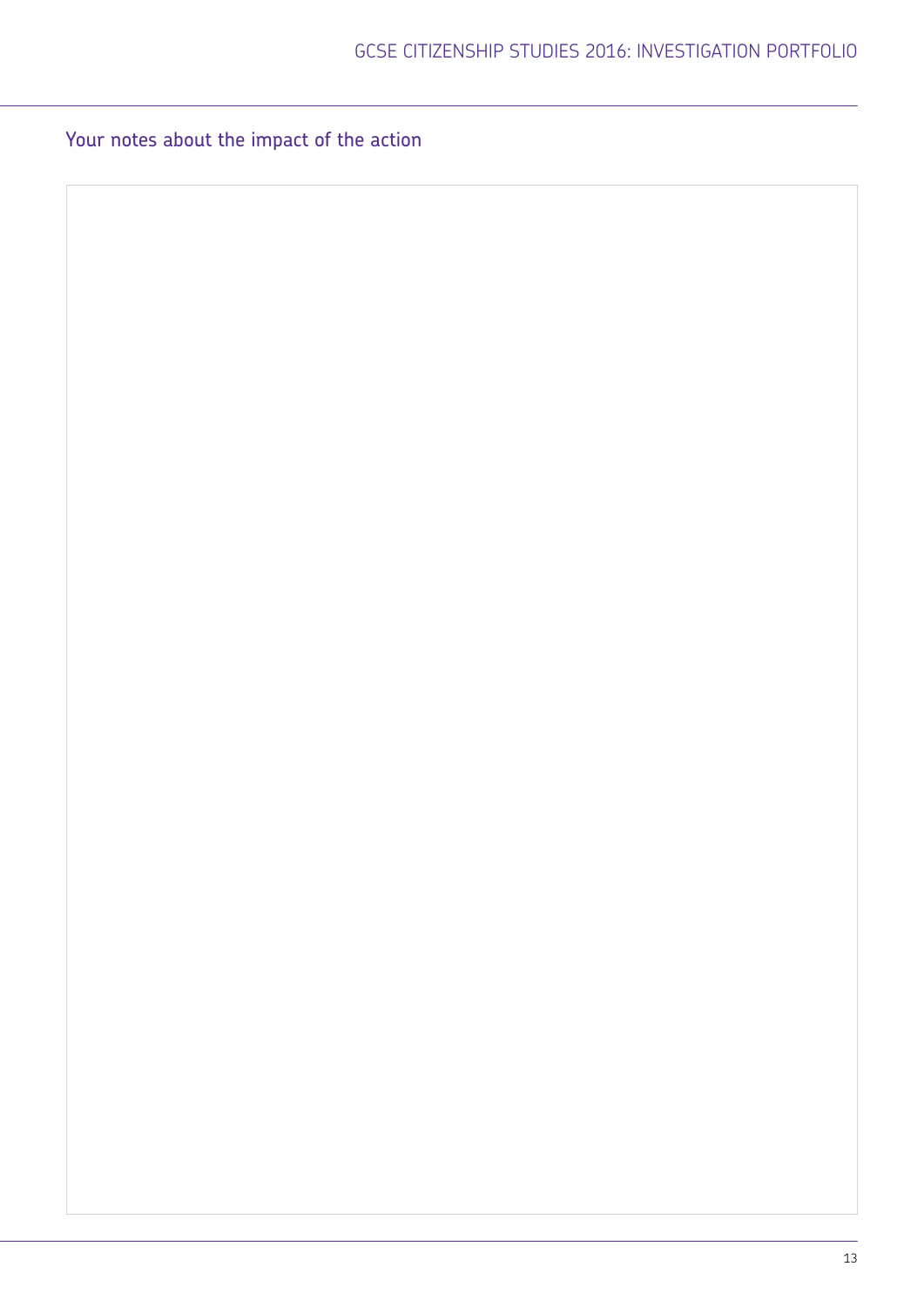Your notes about the impact of the action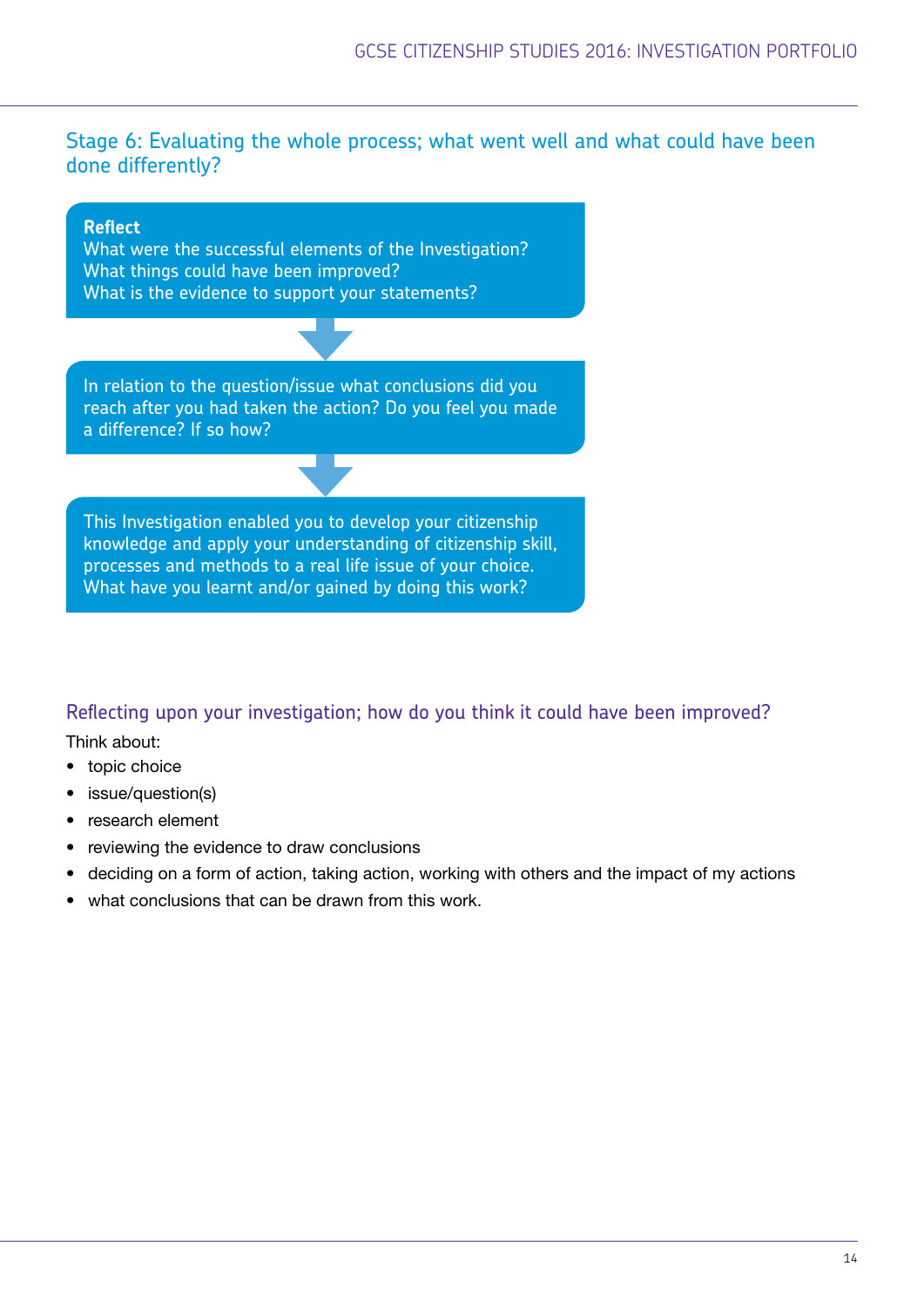# Stage 6: Evaluating the whole process; what went well and what could have been done differently?



## Reflecting upon your investigation; how do you think it could have been improved?

Think about:

- topic choice
- issue/question(s)
- research element
- reviewing the evidence to draw conclusions
- deciding on a form of action, taking action, working with others and the impact of my actions
- what conclusions that can be drawn from this work.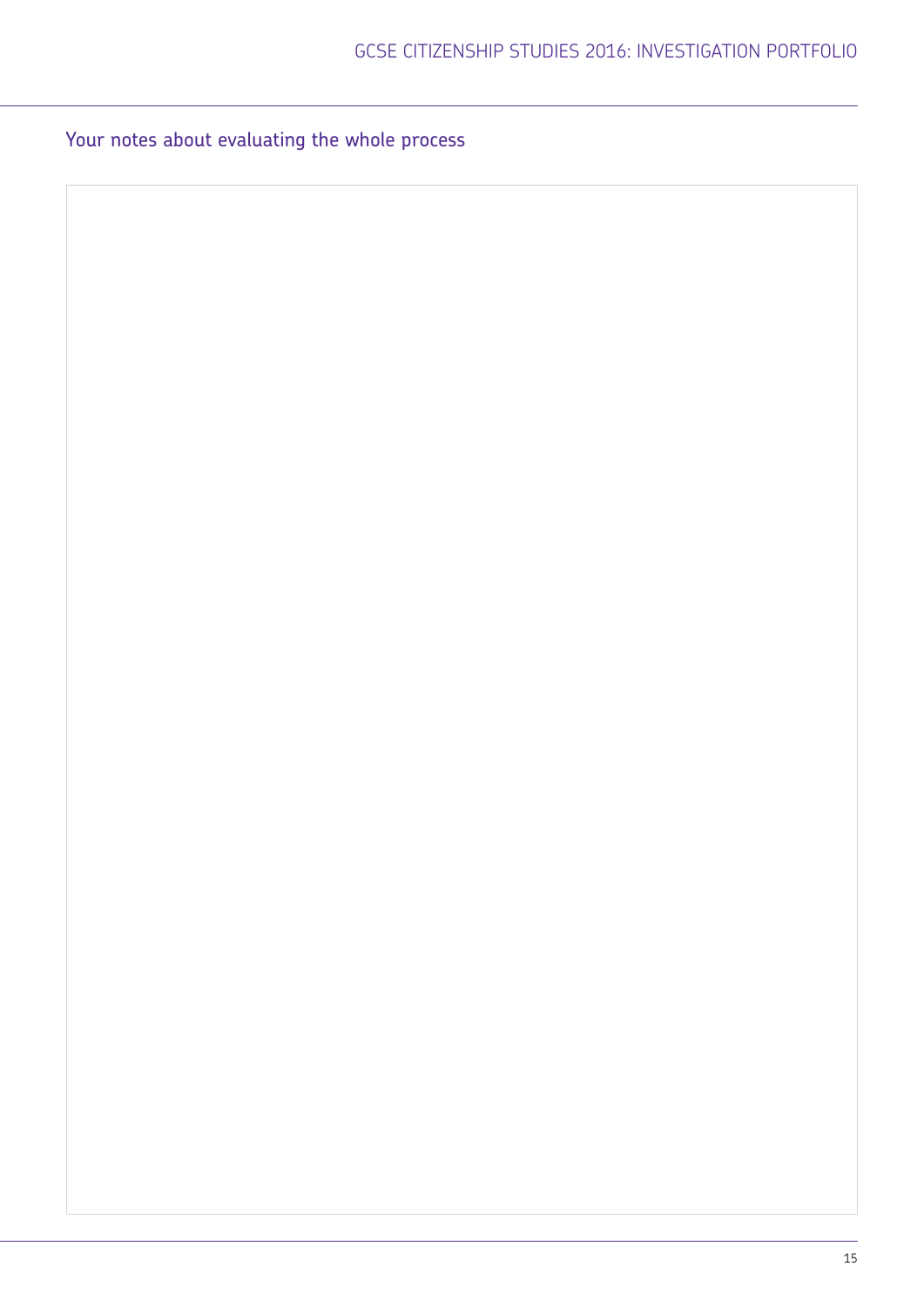# Your notes about evaluating the whole process